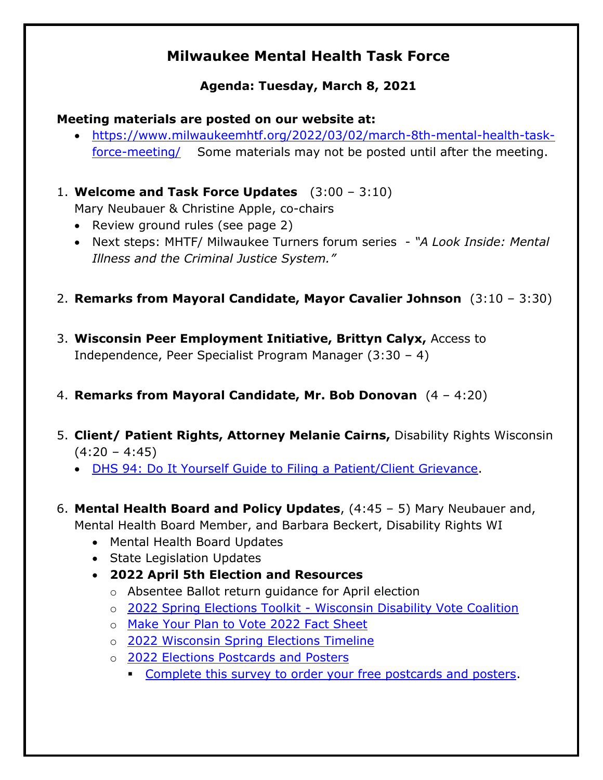# **Milwaukee Mental Health Task Force**

## **Agenda: Tuesday, March 8, 2021**

#### **Meeting materials are posted on our website at:**

• [https://www.milwaukeemhtf.org/2022/03/02/march-8th-mental-health-task](https://www.milwaukeemhtf.org/2022/03/02/march-8th-mental-health-task-force-meeting/)[force-meeting/](https://www.milwaukeemhtf.org/2022/03/02/march-8th-mental-health-task-force-meeting/) Some materials may not be posted until after the meeting.

1. **Welcome and Task Force Updates** (3:00 – 3:10)

Mary Neubauer & Christine Apple, co-chairs

- Review ground rules (see page 2)
- Next steps: MHTF/ Milwaukee Turners forum series *"A Look Inside: Mental Illness and the Criminal Justice System."*
- 2. **Remarks from Mayoral Candidate, Mayor Cavalier Johnson** (3:10 3:30)
- 3. **Wisconsin Peer Employment Initiative, Brittyn Calyx,** Access to Independence, Peer Specialist Program Manager (3:30 – 4)

### 4. **Remarks from Mayoral Candidate, Mr. Bob Donovan** (4 – 4:20)

- 5. **Client/ Patient Rights, Attorney Melanie Cairns,** Disability Rights Wisconsin  $(4:20 - 4:45)$ 
	- [DHS 94: Do It Yourself Guide to Filing a Patient/Client Grievance.](https://disabilityrightswi.org/wp-content/uploads/2021/11/DRW-DHS-94-Self-Help-Guide-acc.pdf)
- 6. **Mental Health Board and Policy Updates**, (4:45 5) Mary Neubauer and,

Mental Health Board Member, and Barbara Beckert, Disability Rights WI

- Mental Health Board Updates
- State Legislation Updates
- **2022 April 5th Election and Resources**
	- o Absentee Ballot return guidance for April election
	- o 2022 Spring Elections Toolkit [Wisconsin Disability Vote Coalition](https://disabilityvote.org/2022/2022-spring-elections-toolkit/)
	- o [Make Your Plan to Vote 2022 Fact Sheet](https://disabilityvote.org/2022/make-your-plan-to-vote-2022-factsheet/)
	- o [2022 Wisconsin Spring Elections Timeline](https://disabilityvote.org/2022/2022-wisconsin-spring-elections-timeline/)
	- o [2022 Elections Postcards and Posters](https://disabilityvote.org/2021/new-dvc-materials-for-2022-elections/)
		- [Complete this survey to order your free postcards and posters.](https://www.surveymonkey.com/r/C837JQC)